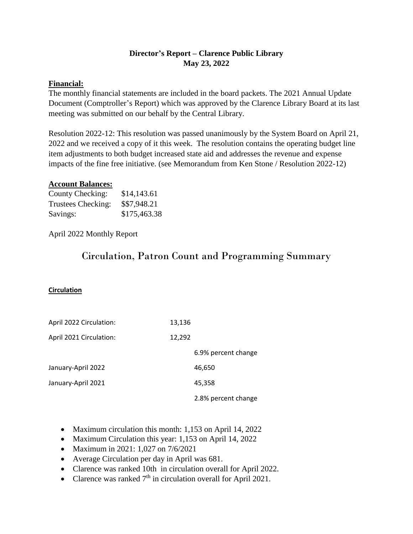## **Director's Report – Clarence Public Library May 23, 2022**

## **Financial:**

The monthly financial statements are included in the board packets. The 2021 Annual Update Document (Comptroller's Report) which was approved by the Clarence Library Board at its last meeting was submitted on our behalf by the Central Library.

Resolution 2022-12: This resolution was passed unanimously by the System Board on April 21, 2022 and we received a copy of it this week. The resolution contains the operating budget line item adjustments to both budget increased state aid and addresses the revenue and expense impacts of the fine free initiative. (see Memorandum from Ken Stone / Resolution 2022-12)

#### **Account Balances:**

| County Checking:   | \$14,143.61  |
|--------------------|--------------|
| Trustees Checking: | \$\$7,948.21 |
| Savings:           | \$175,463.38 |

April 2022 Monthly Report

# Circulation, Patron Count and Programming Summary

#### **Circulation**

| April 2022 Circulation: | 13,136 |                     |
|-------------------------|--------|---------------------|
| April 2021 Circulation: | 12,292 |                     |
|                         |        | 6.9% percent change |
| January-April 2022      |        | 46,650              |
| January-April 2021      |        | 45,358              |
|                         |        | 2.8% percent change |

- Maximum circulation this month: 1,153 on April 14, 2022
- Maximum Circulation this year: 1,153 on April 14, 2022
- Maximum in 2021: 1,027 on 7/6/2021
- Average Circulation per day in April was 681.
- Clarence was ranked 10th in circulation overall for April 2022.
- Clarence was ranked  $7<sup>th</sup>$  in circulation overall for April 2021.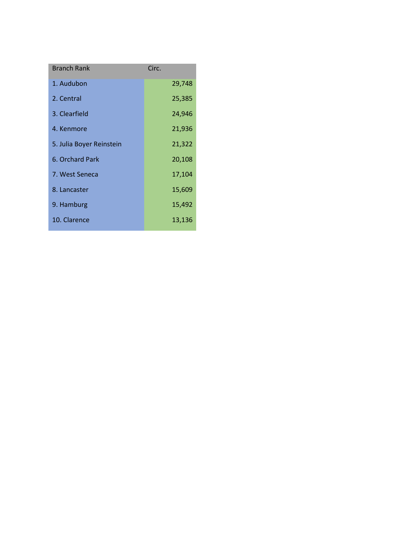| <b>Branch Rank</b>       | Circ.  |
|--------------------------|--------|
|                          |        |
| 1. Audubon               | 29,748 |
| 2. Central               | 25,385 |
| 3. Clearfield            | 24,946 |
| 4. Kenmore               | 21,936 |
| 5. Julia Boyer Reinstein | 21,322 |
| 6. Orchard Park          | 20,108 |
| 7. West Seneca           | 17,104 |
| 8. Lancaster             | 15,609 |
| 9. Hamburg               | 15,492 |
| 10. Clarence             | 13,136 |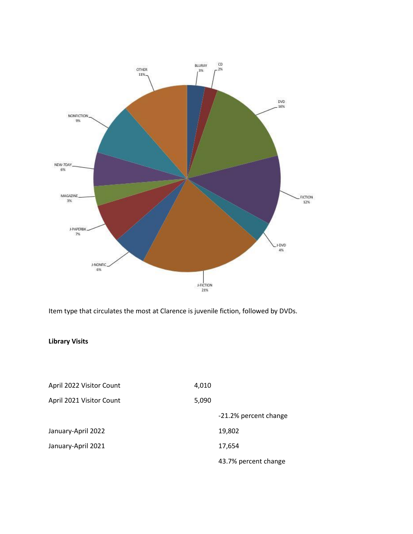

Item type that circulates the most at Clarence is juvenile fiction, followed by DVDs.

### **Library Visits**

| April 2022 Visitor Count | 4,010                 |  |
|--------------------------|-----------------------|--|
| April 2021 Visitor Count | 5,090                 |  |
|                          | -21.2% percent change |  |
| January-April 2022       | 19,802                |  |
| January-April 2021       | 17,654                |  |
|                          | 43.7% percent change  |  |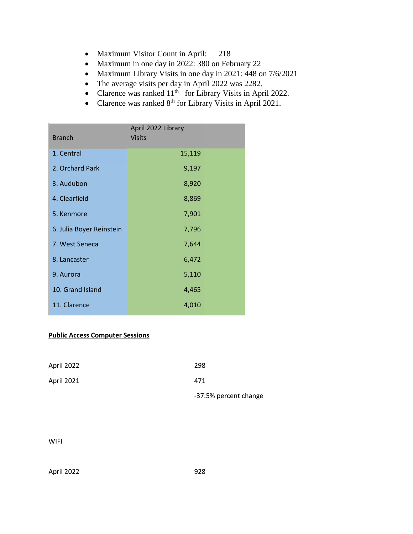- Maximum Visitor Count in April: 218
- Maximum in one day in 2022: 380 on February 22
- Maximum Library Visits in one day in 2021: 448 on 7/6/2021
- The average visits per day in April 2022 was 2282.
- Clarence was ranked  $11<sup>th</sup>$  for Library Visits in April 2022.
- Clarence was ranked  $8<sup>th</sup>$  for Library Visits in April 2021.

| <b>Branch</b>            | April 2022 Library<br><b>Visits</b> |
|--------------------------|-------------------------------------|
| 1. Central               | 15,119                              |
| 2. Orchard Park          | 9,197                               |
| 3. Audubon               | 8,920                               |
| 4. Clearfield            | 8,869                               |
| 5. Kenmore               | 7,901                               |
| 6. Julia Boyer Reinstein | 7,796                               |
| 7. West Seneca           | 7,644                               |
| 8. Lancaster             | 6,472                               |
| 9. Aurora                | 5,110                               |
| 10. Grand Island         | 4,465                               |
| 11. Clarence             | 4,010                               |

### **Public Access Computer Sessions**

| April 2022 | 298                   |
|------------|-----------------------|
| April 2021 | 471                   |
|            | -37.5% percent change |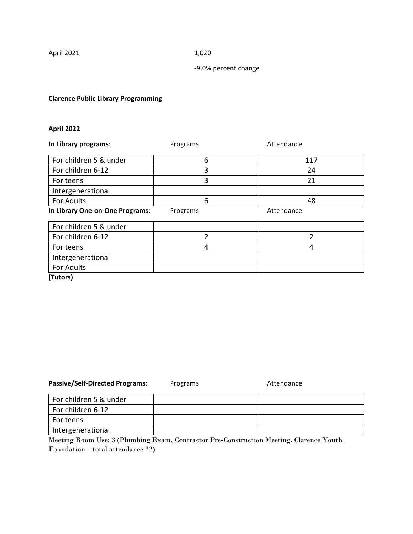#### -9.0% percent change

### **Clarence Public Library Programming**

### **April 2022**

| In Library programs:            | Programs | Attendance |
|---------------------------------|----------|------------|
| For children 5 & under          | 6        | 117        |
| For children 6-12               | 3        | 24         |
| For teens                       | 3        | 21         |
| Intergenerational               |          |            |
| For Adults                      | 6        | 48         |
| In Library One-on-One Programs: | Programs | Attendance |
| For children 5 & under          |          |            |
| For children 6-12               | C        | 2          |
| For teens                       | 4        | 4          |
| Intergenerational               |          |            |
| <b>For Adults</b>               |          |            |

**(Tutors)**

| <b>Passive/Self-Directed Programs:</b> | Programs | Attendance |
|----------------------------------------|----------|------------|
| For children 5 & under                 |          |            |
| For children 6-12                      |          |            |
| For teens                              |          |            |
| Intergenerational                      |          |            |

Meeting Room Use: 3 (Plumbing Exam, Contractor Pre-Construction Meeting, Clarence Youth Foundation – total attendance 22)